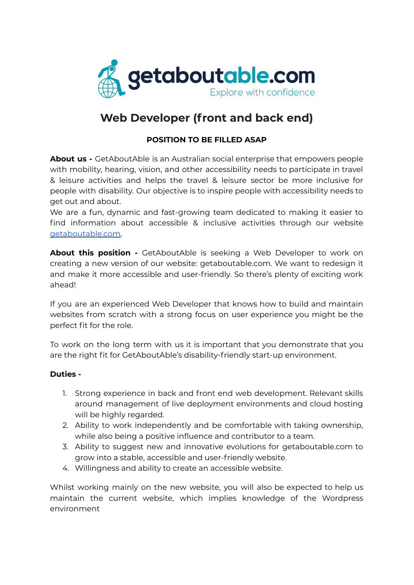

## **Web Developer (front and back end)**

## **POSITION TO BE FILLED ASAP**

**About us -** GetAboutAble is an Australian social enterprise that empowers people with mobility, hearing, vision, and other accessibility needs to participate in travel & leisure activities and helps the travel & leisure sector be more inclusive for people with disability. Our objective is to inspire people with accessibility needs to get out and about.

We are a fun, dynamic and fast-growing team dedicated to making it easier to find information about accessible & inclusive activities through our websit[e](https://www.getaboutable.com) [getaboutable.com.](https://www.getaboutable.com)

**About this position -** GetAboutAble is seeking a Web Developer to work on creating a new version of our website: getaboutable.com. We want to redesign it and make it more accessible and user-friendly. So there's plenty of exciting work ahead!

If you are an experienced Web Developer that knows how to build and maintain websites from scratch with a strong focus on user experience you might be the perfect fit for the role.

To work on the long term with us it is important that you demonstrate that you are the right fit for GetAboutAble's disability-friendly start-up environment.

## **Duties -**

- 1. Strong experience in back and front end web development. Relevant skills around management of live deployment environments and cloud hosting will be highly regarded.
- 2. Ability to work independently and be comfortable with taking ownership, while also being a positive influence and contributor to a team.
- 3. Ability to suggest new and innovative evolutions for getaboutable.com to grow into a stable, accessible and user-friendly website.
- 4. Willingness and ability to create an accessible website.

Whilst working mainly on the new website, you will also be expected to help us maintain the current website, which implies knowledge of the Wordpress environment